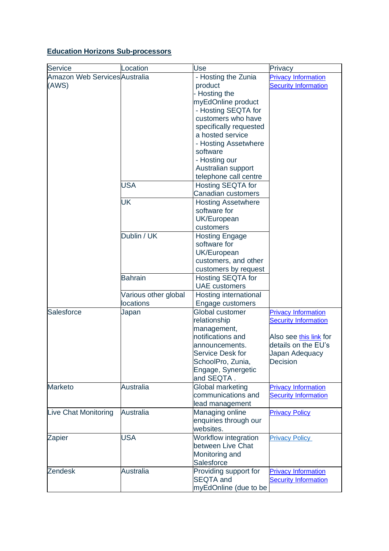## **Education Horizons Sub-processors**

| Service                                | Location                               | Use                                                                                                                                                                                                                   |                                                                                                                                          |
|----------------------------------------|----------------------------------------|-----------------------------------------------------------------------------------------------------------------------------------------------------------------------------------------------------------------------|------------------------------------------------------------------------------------------------------------------------------------------|
| Amazon Web Services Australia<br>(AWS) |                                        | - Hosting the Zunia<br>product<br>- Hosting the<br>myEdOnline product<br>- Hosting SEQTA for<br>customers who have<br>specifically requested<br>a hosted service<br>- Hosting Assetwhere<br>software<br>- Hosting our | Privacy<br><b>Privacy Information</b><br><b>Security Information</b>                                                                     |
|                                        | <b>USA</b>                             | Australian support<br>telephone call centre<br><b>Hosting SEQTA for</b><br>Canadian customers                                                                                                                         |                                                                                                                                          |
|                                        | <b>UK</b>                              | <b>Hosting Assetwhere</b><br>software for<br>UK/European<br>customers                                                                                                                                                 |                                                                                                                                          |
|                                        | Dublin / UK                            | <b>Hosting Engage</b><br>software for<br>UK/European<br>customers, and other<br>customers by request                                                                                                                  |                                                                                                                                          |
|                                        | <b>Bahrain</b><br>Various other global | <b>Hosting SEQTA for</b><br><b>UAE</b> customers<br>Hosting international                                                                                                                                             |                                                                                                                                          |
| Salesforce                             | locations<br>Japan                     | Engage customers<br>Global customer<br>relationship<br>management,<br>notifications and<br>announcements.<br>Service Desk for<br>SchoolPro, Zunia,<br>Engage, Synergetic<br>and SEQTA.                                | <b>Privacy Information</b><br><b>Security Information</b><br>Also see this link for<br>details on the EU's<br>Japan Adequacy<br>Decision |
| <b>Marketo</b>                         | <b>Australia</b>                       | Global marketing<br>communications and<br>lead management                                                                                                                                                             | <b>Privacy Information</b><br><b>Security Information</b>                                                                                |
| Live Chat Monitoring                   | <b>Australia</b>                       | Managing online<br>enquiries through our<br>websites.                                                                                                                                                                 | <b>Privacy Policy</b>                                                                                                                    |
| Zapier                                 | <b>USA</b>                             | Workflow integration<br>between Live Chat<br>Monitoring and<br>Salesforce                                                                                                                                             | <b>Privacy Policy</b>                                                                                                                    |
| <b>Zendesk</b>                         | <b>Australia</b>                       | Providing support for<br><b>SEQTA</b> and<br>myEdOnline (due to be                                                                                                                                                    | <b>Privacy Information</b><br><b>Security Information</b>                                                                                |